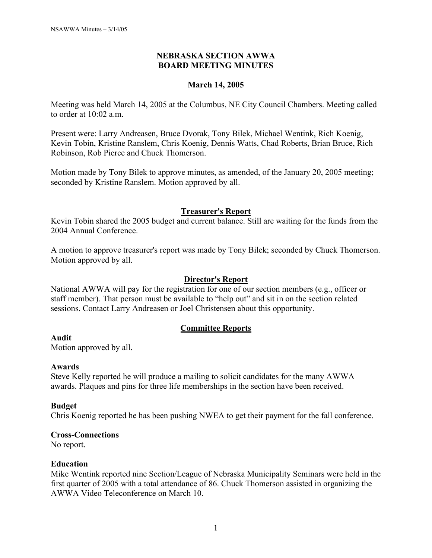## **NEBRASKA SECTION AWWA BOARD MEETING MINUTES**

## **March 14, 2005**

Meeting was held March 14, 2005 at the Columbus, NE City Council Chambers. Meeting called to order at  $10.02$  a m.

Present were: Larry Andreasen, Bruce Dvorak, Tony Bilek, Michael Wentink, Rich Koenig, Kevin Tobin, Kristine Ranslem, Chris Koenig, Dennis Watts, Chad Roberts, Brian Bruce, Rich Robinson, Rob Pierce and Chuck Thomerson.

Motion made by Tony Bilek to approve minutes, as amended, of the January 20, 2005 meeting; seconded by Kristine Ranslem. Motion approved by all.

## **Treasurer's Report**

Kevin Tobin shared the 2005 budget and current balance. Still are waiting for the funds from the 2004 Annual Conference.

A motion to approve treasurer's report was made by Tony Bilek; seconded by Chuck Thomerson. Motion approved by all.

## **Director's Report**

National AWWA will pay for the registration for one of our section members (e.g., officer or staff member). That person must be available to "help out" and sit in on the section related sessions. Contact Larry Andreasen or Joel Christensen about this opportunity.

# **Committee Reports**

#### **Audit**

Motion approved by all.

#### **Awards**

Steve Kelly reported he will produce a mailing to solicit candidates for the many AWWA awards. Plaques and pins for three life memberships in the section have been received.

#### **Budget**

Chris Koenig reported he has been pushing NWEA to get their payment for the fall conference.

### **Cross-Connections**

No report.

#### **Education**

Mike Wentink reported nine Section/League of Nebraska Municipality Seminars were held in the first quarter of 2005 with a total attendance of 86. Chuck Thomerson assisted in organizing the AWWA Video Teleconference on March 10.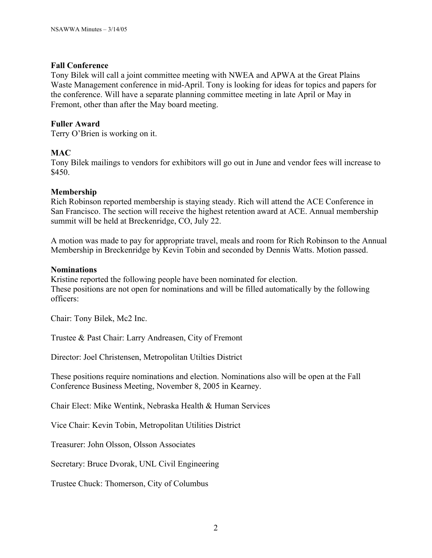### **Fall Conference**

Tony Bilek will call a joint committee meeting with NWEA and APWA at the Great Plains Waste Management conference in mid-April. Tony is looking for ideas for topics and papers for the conference. Will have a separate planning committee meeting in late April or May in Fremont, other than after the May board meeting.

## **Fuller Award**

Terry O'Brien is working on it.

## **MAC**

Tony Bilek mailings to vendors for exhibitors will go out in June and vendor fees will increase to \$450.

#### **Membership**

Rich Robinson reported membership is staying steady. Rich will attend the ACE Conference in San Francisco. The section will receive the highest retention award at ACE. Annual membership summit will be held at Breckenridge, CO, July 22.

A motion was made to pay for appropriate travel, meals and room for Rich Robinson to the Annual Membership in Breckenridge by Kevin Tobin and seconded by Dennis Watts. Motion passed.

#### **Nominations**

Kristine reported the following people have been nominated for election. These positions are not open for nominations and will be filled automatically by the following officers:

Chair: Tony Bilek, Mc2 Inc.

Trustee & Past Chair: Larry Andreasen, City of Fremont

Director: Joel Christensen, Metropolitan Utilties District

These positions require nominations and election. Nominations also will be open at the Fall Conference Business Meeting, November 8, 2005 in Kearney.

Chair Elect: Mike Wentink, Nebraska Health & Human Services

Vice Chair: Kevin Tobin, Metropolitan Utilities District

Treasurer: John Olsson, Olsson Associates

Secretary: Bruce Dvorak, UNL Civil Engineering

Trustee Chuck: Thomerson, City of Columbus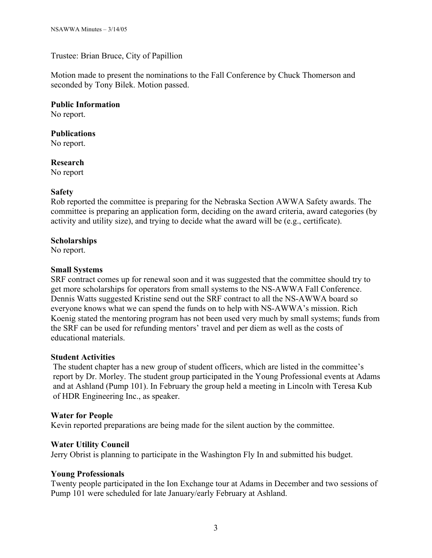Trustee: Brian Bruce, City of Papillion

Motion made to present the nominations to the Fall Conference by Chuck Thomerson and seconded by Tony Bilek. Motion passed.

**Public Information**

No report.

#### **Publications**

No report.

# **Research**

No report

#### **Safety**

Rob reported the committee is preparing for the Nebraska Section AWWA Safety awards. The committee is preparing an application form, deciding on the award criteria, award categories (by activity and utility size), and trying to decide what the award will be (e.g., certificate).

## **Scholarships**

No report.

#### **Small Systems**

SRF contract comes up for renewal soon and it was suggested that the committee should try to get more scholarships for operators from small systems to the NS-AWWA Fall Conference. Dennis Watts suggested Kristine send out the SRF contract to all the NS-AWWA board so everyone knows what we can spend the funds on to help with NS-AWWA's mission. Rich Koenig stated the mentoring program has not been used very much by small systems; funds from the SRF can be used for refunding mentors' travel and per diem as well as the costs of educational materials.

#### **Student Activities**

The student chapter has a new group of student officers, which are listed in the committee's report by Dr. Morley. The student group participated in the Young Professional events at Adams and at Ashland (Pump 101). In February the group held a meeting in Lincoln with Teresa Kub of HDR Engineering Inc., as speaker.

#### **Water for People**

Kevin reported preparations are being made for the silent auction by the committee.

# **Water Utility Council**

Jerry Obrist is planning to participate in the Washington Fly In and submitted his budget.

#### **Young Professionals**

Twenty people participated in the Ion Exchange tour at Adams in December and two sessions of Pump 101 were scheduled for late January/early February at Ashland.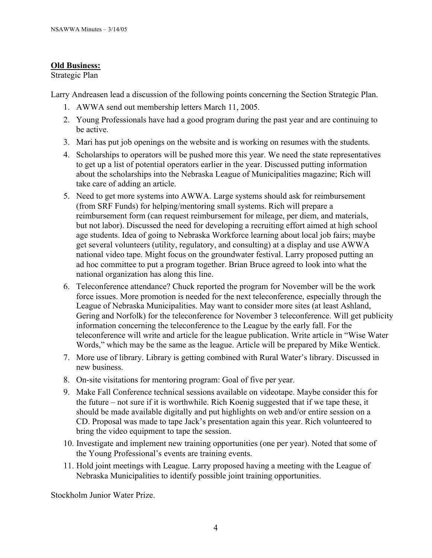# **Old Business:**

# Strategic Plan

Larry Andreasen lead a discussion of the following points concerning the Section Strategic Plan.

- 1. AWWA send out membership letters March 11, 2005.
- 2. Young Professionals have had a good program during the past year and are continuing to be active.
- 3. Mari has put job openings on the website and is working on resumes with the students.
- 4. Scholarships to operators will be pushed more this year. We need the state representatives to get up a list of potential operators earlier in the year. Discussed putting information about the scholarships into the Nebraska League of Municipalities magazine; Rich will take care of adding an article.
- 5. Need to get more systems into AWWA. Large systems should ask for reimbursement (from SRF Funds) for helping/mentoring small systems. Rich will prepare a reimbursement form (can request reimbursement for mileage, per diem, and materials, but not labor). Discussed the need for developing a recruiting effort aimed at high school age students. Idea of going to Nebraska Workforce learning about local job fairs; maybe get several volunteers (utility, regulatory, and consulting) at a display and use AWWA national video tape. Might focus on the groundwater festival. Larry proposed putting an ad hoc committee to put a program together. Brian Bruce agreed to look into what the national organization has along this line.
- 6. Teleconference attendance? Chuck reported the program for November will be the work force issues. More promotion is needed for the next teleconference, especially through the League of Nebraska Municipalities. May want to consider more sites (at least Ashland, Gering and Norfolk) for the teleconference for November 3 teleconference. Will get publicity information concerning the teleconference to the League by the early fall. For the teleconference will write and article for the league publication. Write article in "Wise Water Words," which may be the same as the league. Article will be prepared by Mike Wentick.
- 7. More use of library. Library is getting combined with Rural Water's library. Discussed in new business.
- 8. On-site visitations for mentoring program: Goal of five per year.
- 9. Make Fall Conference technical sessions available on videotape. Maybe consider this for the future – not sure if it is worthwhile. Rich Koenig suggested that if we tape these, it should be made available digitally and put highlights on web and/or entire session on a CD. Proposal was made to tape Jack's presentation again this year. Rich volunteered to bring the video equipment to tape the session.
- 10. Investigate and implement new training opportunities (one per year). Noted that some of the Young Professional's events are training events.
- 11. Hold joint meetings with League. Larry proposed having a meeting with the League of Nebraska Municipalities to identify possible joint training opportunities.

Stockholm Junior Water Prize.